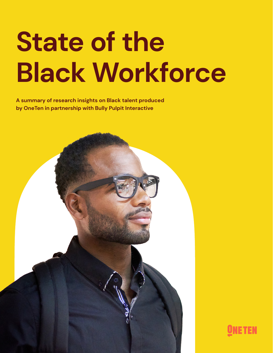# **State of the Black Workforce**

**A summary of research insights on Black talent produced by OneTen in partnership with Bully Pulpit Interactive**



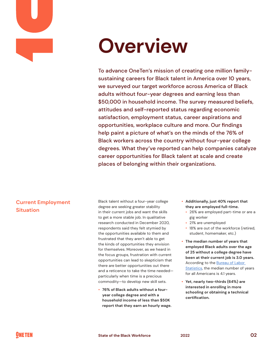

# **Overview**

To advance OneTen's mission of creating one million familysustaining careers for Black talent in America over 10 years, we surveyed our target workforce across America of Black adults without four-year degrees and earning less than \$50,000 in household income. The survey measured beliefs, attitudes and self-reported status regarding economic satisfaction, employment status, career aspirations and opportunities, workplace culture and more. Our findings help paint a picture of what's on the minds of the 76% of Black workers across the country without four-year college degrees. What they've reported can help companies catalyze career opportunities for Black talent at scale and create places of belonging within their organizations.

#### **Current Employment Situation**

Black talent without a four-year college degree are seeking greater stability in their current jobs and want the skills to get a more stable job. In qualitative research conducted in December 2020, respondents said they felt stymied by the opportunities available to them and frustrated that they aren't able to get the kinds of opportunities they envision for themselves. Moreover, as we heard in the focus groups, frustration with current opportunities can lead to skepticism that there are better opportunities out there and a reticence to take the time needed particularly when time is a precious commodity—to develop new skill sets.

• **76% of Black adults without a fouryear college degree and with a household income of less than \$50K report that they earn an hourly wage.**

- **Additionally, just 40% report that they are employed full-time.**
	- ° 26% are employed part-time or are a gig worker
	- ° 21% are unemployed
	- ° 18% are out of the workforce (retired, student, homemaker, etc.)
- **The median number of years that employed Black adults over the age of 25 without a college degree have been at their current job is 3.0 years.** According to the **Bureau of Labor** Statistics, the median number of years for all Americans is 4.1 years.
- **Yet, nearly two-thirds (64%) are interested in enrolling in more schooling or obtaining a technical certification.**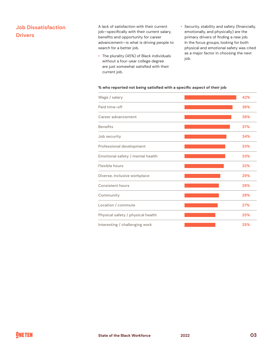## **Job Dissatisfaction Drivers**

A lack of satisfaction with their current job—specifically with their current salary, benefits and opportunity for career advancement—is what is driving people to search for a better job.

- The plurality (45%) of Black individuals without a four-year college degree are just somewhat satisfied with their current job.
- Security, stability and safety (financially, emotionally, and physically) are the primary drivers of finding a new job. In the focus groups, looking for both physical and emotional safety was cited as a major factor in choosing the next job.

#### **% who reported not being satisfied with a specific aspect of their job**

| Wage / salary                     | 42% |
|-----------------------------------|-----|
| Paid time-off                     | 39% |
| Career advancement                | 38% |
| <b>Benefits</b>                   | 37% |
| Job security                      | 34% |
| Professional development          | 33% |
| Emotional safety / mental health  | 33% |
| Flexible hours                    | 32% |
| Diverse, inclusive workplace      | 29% |
| <b>Consistent hours</b>           | 28% |
| Community                         | 28% |
| Location / commute                | 27% |
| Physical safety / physical health | 25% |
| Interesting / challenging work    | 25% |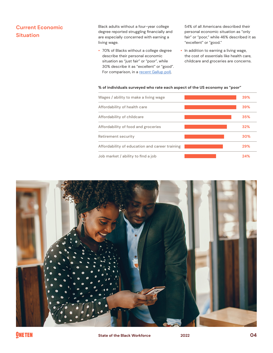#### **Current Economic Situation**

Black adults without a four-year college degree reported struggling financially and are especially concerned with earning a living wage.

• 70% of Blacks without a college degree describe their personal economic situation as "just fair" or "poor", while 30% describe it as "excellent" or "good". For comparison, in a recent Gallup poll,

54% of all Americans described their personal economic situation as "only fair" or "poor," while 46% described it as "excellent" or "good."

• In addition to earning a living wage, the cost of essentials like health care, childcare and groceries are concerns.

#### **% of individuals surveyed who rate each aspect of the US economy as "poor"**

| Wages / ability to make a living wage          | 39% |
|------------------------------------------------|-----|
| Affordability of health care                   | 39% |
| Affordability of childcare                     | 35% |
| Affordability of food and groceries            | 32% |
| Retirement security                            | 30% |
| Affordability of education and career training | 29% |
| Job market / ability to find a job             | 24% |

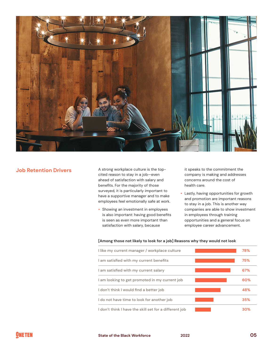

#### **Job Retention Drivers**

A strong workplace culture is the topcited reason to stay in a job—even ahead of satisfaction with salary and benefits. For the majority of those surveyed, it is particularly important to have a supportive manager and to make employees feel emotionally safe at work.

• Showing an investment in employees is also important: having good benefits is seen as even more important than satisfaction with salary, because

it speaks to the commitment the company is making and addresses concerns around the cost of health care.

• Lastly, having opportunities for growth and promotion are important reasons to stay in a job. This is another way companies are able to show investment in employees through training opportunities and a general focus on employee career advancement.

#### **[Among those not likely to look for a job] Reasons why they would not look**

| I like my current manager / workplace culture          | 78% |
|--------------------------------------------------------|-----|
| I am satisfied with my current benefits                | 75% |
| I am satisfied with my current salary                  | 67% |
| I am looking to get promoted in my current job         | 60% |
| I don't think I would find a better job                | 48% |
| I do not have time to look for another job             | 35% |
| I don't think I have the skill set for a different job | 30% |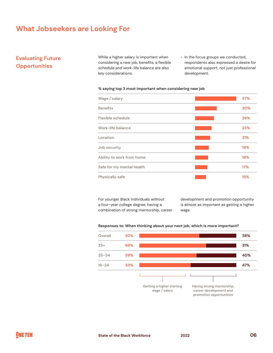# **What Jobseekers are Looking For**

#### **Evaluating Future Opportunities**

While a higher salary is important when considering a new job, benefits, a flexible schedule and work-life balance are also key considerations.

• In the focus groups we conducted, respondents also expressed a desire for emotional support, not just professional development.

#### **% saying top 3 most important when considering new job**

| Wage / salary             | 57% |
|---------------------------|-----|
| <b>Benefits</b>           | 30% |
| Flexible schedule         | 26% |
| Work-life balance         | 23% |
| Location                  | 21% |
| Job security              | 19% |
| Ability to work from home | 18% |
| Safe for my mental health | 17% |
| Physically safe           | 15% |

For younger Black individuals without a four-year college degree, having a combination of strong mentorship, career development and promotion opportunity is almost as important as getting a higher wage.



#### **Responses to: When thinking about your next job, which is more important?**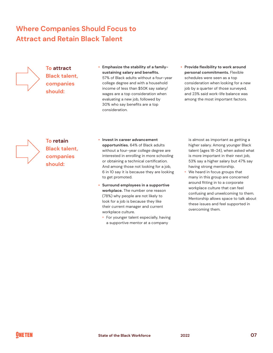# **Where Companies Should Focus to Attract and Retain Black Talent**



## **To attract Black talent, companies should:**

- **Emphasize the stability of a familysustaining salary and benefits.** 57% of Black adults without a four-year college degree and with a household income of less than \$50K say salary/ wages are a top consideration when evaluating a new job, followed by 30% who say benefits are a top consideration.
- **Provide flexibility to work around personal commitments.** Flexible schedules were seen as a top consideration when looking for a new job by a quarter of those surveyed, and 23% said work-life balance was among the most important factors.



# **To retain Black talent, companies should:**

- **Invest in career advancement opportunities.** 64% of Black adults without a four-year college degree are interested in enrolling in more schooling or obtaining a technical certification. And among those not looking for a job, 6 in 10 say it is because they are looking to get promoted.
- **Surround employees in a supportive workplace.** The number one reason (78%) why people are not likely to look for a job is because they like their current manager and current workplace culture.
	- ° For younger talent especially, having a supportive mentor at a company

is almost as important as getting a higher salary. Among younger Black talent (ages 18-24), when asked what is more important in their next job, 53% say a higher salary but 47% say having strong mentorship.

• We heard in focus groups that many in this group are concerned around fitting in to a corporate workplace culture that can feel confusing and unwelcoming to them. Mentorship allows space to talk about these issues and feel supported in overcoming them.